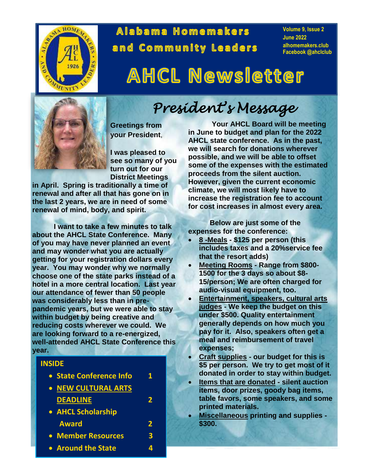

## Alabama Homemakers and Community Leaders

**Volume 9, Issue 2 June 2022 alhomemakers.club Facebook @ahclclub**

# **AHCL Newsletter**



**Greetings from your President**,

**I was pleased to see so many of you turn out for our District Meetings**

**in April. Spring is traditionally a time of renewal and after all that has gone on in the last 2 years, we are in need of some renewal of mind, body, and spirit.**

**I want to take a few minutes to talk about the AHCL State Conference. Many of you may have never planned an event and may wonder what you are actually getting for your registration dollars every year. You may wonder why we normally choose one of the state parks instead of a hotel in a more central location. Last year our attendance of fewer than 50 people was considerably less than in prepandemic years, but we were able to stay within budget by being creative and reducing costs wherever we could. We are looking forward to a re-energized, well-attended AHCL State Conference this year.**

## **INSIDE State Conference Info 1 NEW CULTURAL ARTS DEADLINE 2 AHCL Scholarship Award 2 Member Resources 3 Around the State 4**

## *President's Message*

**Your AHCL Board will be meeting in June to budget and plan for the 2022 AHCL state conference. As in the past, we will search for donations wherever possible, and we will be able to offset some of the expenses with the estimated proceeds from the silent auction. However, given the current economic climate, we will most likely have to increase the registration fee to account for cost increases in almost every area.**

**Below are just some of the expenses for the conference:**

- **8 -Meals - \$125 per person (this includes taxes and a 20%service fee that the resort adds)**
- **Meeting Rooms - Range from \$800- 1500 for the 3 days so about \$8- 15/person; We are often charged for audio-visual equipment, too.**
- **Entertainment, speakers, cultural arts judges - We keep the budget on this under \$500. Quality entertainment generally depends on how much you pay for it. Also, speakers often get a meal and reimbursement of travel expenses;**
- **Craft supplies - our budget for this is \$5 per person. We try to get most of it donated in order to stay within budget.**
- **Items that are donated - silent auction items, door prizes, goody bag items, table favors, some speakers, and some printed materials.**
- **Miscellaneous printing and supplies - \$300.**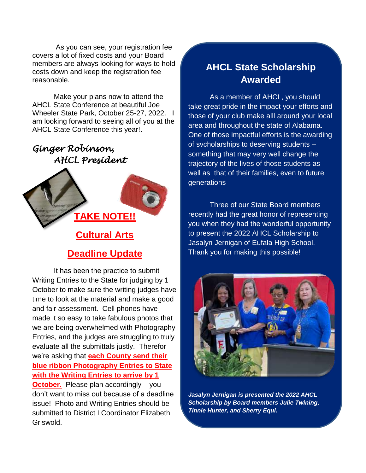As you can see, your registration fee covers a lot of fixed costs and your Board members are always looking for ways to hold costs down and keep the registration fee reasonable.

Make your plans now to attend the AHCL State Conference at beautiful Joe Wheeler State Park, October 25-27, 2022. I am looking forward to seeing all of you at the AHCL State Conference this year!.

## *Ginger Robinson, AHCL President*



## **Deadline Update**

It has been the practice to submit Writing Entries to the State for judging by 1 October to make sure the writing judges have time to look at the material and make a good and fair assessment. Cell phones have made it so easy to take fabulous photos that we are being overwhelmed with Photography Entries, and the judges are struggling to truly evaluate all the submittals justly. Therefor we're asking that **each County send their blue ribbon Photography Entries to State with the Writing Entries to arrive by 1 October.** Please plan accordingly – you don't want to miss out because of a deadline issue! Photo and Writing Entries should be submitted to District I Coordinator Elizabeth Griswold.

## **AHCL State Scholarship Awarded**

As a member of AHCL, you should take great pride in the impact your efforts and those of your club make alll around your local area and throughout the state of Alabama. One of those impactful efforts is the awarding of svcholarships to deserving students – something that may very well change the trajectory of the lives of those students as well as that of their families, even to future generations

Three of our State Board members recently had the great honor of representing you when they had the wonderful opportunity to present the 2022 AHCL Scholarship to Jasalyn Jernigan of Eufala High School. Thank you for making this possible!



*Jasalyn Jernigan is presented the 2022 AHCL Scholarship by Board members Julie Twining, Tinnie Hunter, and Sherry Equi.*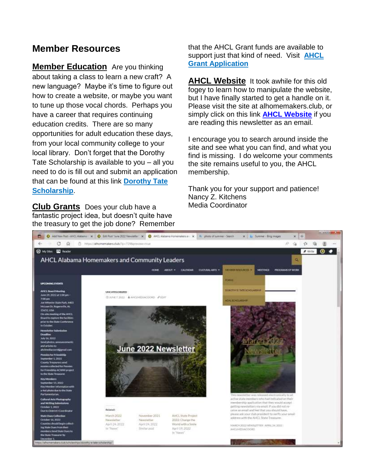## **Member Resources**

**Member Education** Are you thinking about taking a class to learn a new craft? A new language? Maybe it's time to figure out how to create a website, or maybe you want to tune up those vocal chords. Perhaps you have a career that requires continuing education credits. There are so many opportunities for adult education these days, from your local community college to your local library. Don't forget that the Dorothy Tate Scholarship is available to you – all you need to do is fill out and submit an application that can be found at this link **[Dorothy Tate](https://alhomemakers.club/scholarships/dorothy-e-tate-scholarship/)  [Scholarship](https://alhomemakers.club/scholarships/dorothy-e-tate-scholarship/)**.

**Club Grants** Does your club have a fantastic project idea, but doesn't quite have the treasury to get the job done? Remember that the AHCL Grant funds are available to support just that kind of need. Visit **[AHCL](https://alhomemakers.club/wp-content/uploads/2018/09/ahcl-grant-form.pdf)  [Grant Application](https://alhomemakers.club/wp-content/uploads/2018/09/ahcl-grant-form.pdf)**

**AHCL Website** It took awhile for this old fogey to learn how to manipulate the website, but I have finally started to get a handle on it. Please visit the site at alhomemakers.club, or simply click on this link **[AHCL Website](https://alhomemakers.club/)** if you are reading this newsletter as an email.

I encourage you to search around inside the site and see what you can find, and what you find is missing. I do welcome your comments the site remains useful to you, the AHCL membership.

Thank you for your support and patience! Nancy Z. Kitchens Media Coordinator

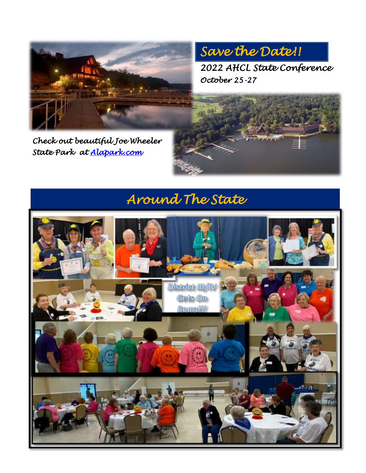

*Save the Date!!* 

*2022 AHCL State Conference October 25-27* 

*Check out beautiful Joe Wheeler State Park at [Alapark.com](https://www.alapark.com/parks/joe-wheeler-state-park)* 

## *Around The State*

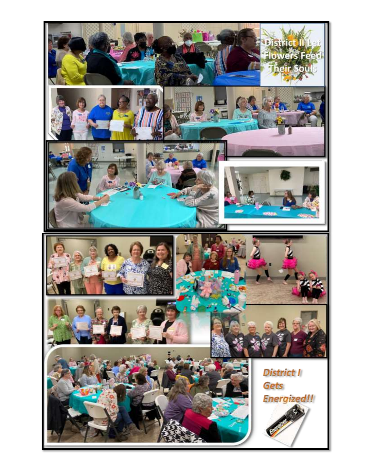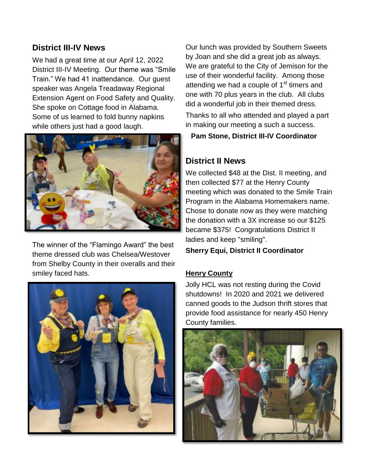### **District III-IV News**

We had a great time at our April 12, 2022 District III-IV Meeting. Our theme was "Smile Train." We had 41 inattendance. Our guest speaker was Angela Treadaway Regional Extension Agent on Food Safety and Quality. She spoke on Cottage food in Alabama. Some of us learned to fold bunny napkins while others just had a good laugh.



The winner of the "Flamingo Award" the best theme dressed club was Chelsea/Westover from Shelby County in their overalls and their smiley faced hats.



Our lunch was provided by Southern Sweets by Joan and she did a great job as always. We are grateful to the City of Jemison for the use of their wonderful facility. Among those attending we had a couple of  $1<sup>st</sup>$  timers and one with 70 plus years in the club. All clubs did a wonderful job in their themed dress.

Thanks to all who attended and played a part in making our meeting a such a success.

**Pam Stone, District III-IV Coordinator**

### **District II News**

We collected \$48 at the Dist. II meeting, and then collected \$77 at the Henry County meeting which was donated to the Smile Train Program in the Alabama Homemakers name. Chose to donate now as they were matching the donation with a 3X increase so our \$125 became \$375! Congratulations District II ladies and keep "smiling".

#### **Sherry Equi, District II Coordinator**

#### **Henry County**

Jolly HCL was not resting during the Covid shutdowns! In 2020 and 2021 we delivered canned goods to the Judson thrift stores that provide food assistance for nearly 450 Henry County families.

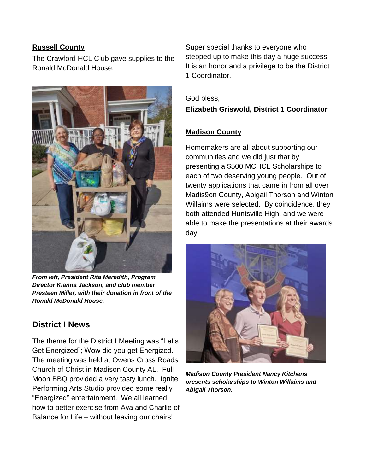#### **Russell County**

The Crawford HCL Club gave supplies to the Ronald McDonald House.



*From left, President Rita Meredith, Program Director Kianna Jackson, and club member Presteen Miller, with their donation in front of the Ronald McDonald House.*

## **District I News**

The theme for the District I Meeting was "Let's Get Energized"; Wow did you get Energized. The meeting was held at Owens Cross Roads Church of Christ in Madison County AL. Full Moon BBQ provided a very tasty lunch. Ignite Performing Arts Studio provided some really "Energized" entertainment. We all learned how to better exercise from Ava and Charlie of Balance for Life – without leaving our chairs!

Super special thanks to everyone who stepped up to make this day a huge success. It is an honor and a privilege to be the District 1 Coordinator.

#### God bless,

#### **Elizabeth Griswold, District 1 Coordinator**

#### **Madison County**

Homemakers are all about supporting our communities and we did just that by presenting a \$500 MCHCL Scholarships to each of two deserving young people. Out of twenty applications that came in from all over Madis9on County, Abigail Thorson and Winton Willaims were selected. By coincidence, they both attended Huntsville High, and we were able to make the presentations at their awards day.



*Madison County President Nancy Kitchens presents scholarships to Winton Willaims and Abigail Thorson.*